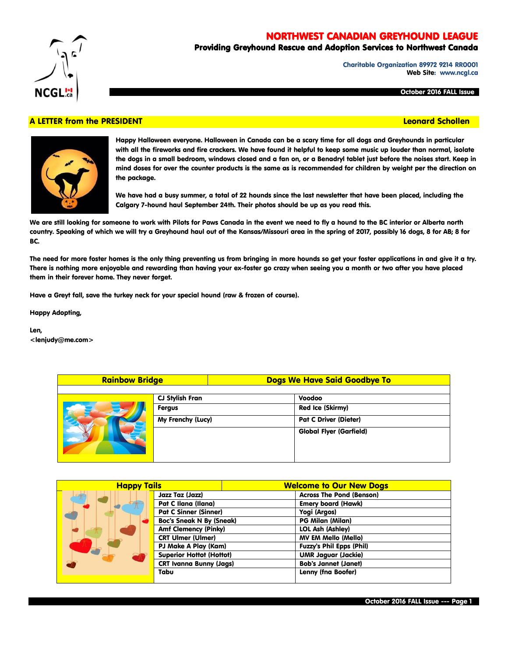# NORTHWEST CANADIAN GREYHOUND LEAGUE

# Providing Greyhound Rescue and Adoption Services to Northwest Canada

Charitable Organization 89972 9214 RR0001 Web Site: www.ncgl.ca

October 2016 FALL Issue

## A LETTER from the PRESIDENT And the Control of the Control of the Control of the Control of the Control of the



**NCGL!:** 

Happy Halloween everyone. Halloween in Canada can be a scary time for all dogs and Greyhounds in particular with all the fireworks and fire crackers. We have found it helpful to keep some music up louder than normal, isolate the dogs in a small bedroom, windows closed and a fan on, or a Benadryl tablet just before the noises start. Keep in mind doses for over the counter products is the same as is recommended for children by weight per the direction on the package.

We have had a busy summer, a total of 22 hounds since the last newsletter that have been placed, including the Calgary 7-hound haul September 24th. Their photos should be up as you read this.

We are still looking for someone to work with Pilots for Paws Canada in the event we need to fly a hound to the BC interior or Alberta north country. Speaking of which we will try a Greyhound haul out of the Kansas/Missouri area in the spring of 2017, possibly 16 dogs, 8 for AB; 8 for BC.

The need for more foster homes is the only thing preventing us from bringing in more hounds so get your foster applications in and give it a try. There is nothing more enjoyable and rewarding than having your ex-foster go crazy when seeing you a month or two after you have placed them in their forever home. They never forget.

Have a Greyt fall, save the turkey neck for your special hound (raw & frozen of course).

Happy Adopting,

Len, <lenjudy@me.com>

| <b>Rainbow Bridge</b> |                   | Dogs We Have Said Goodbye To   |  |
|-----------------------|-------------------|--------------------------------|--|
|                       |                   |                                |  |
|                       | CJ Stylish Fran   | Voodoo                         |  |
|                       | <b>Fergus</b>     | <b>Red Ice (Skirmy)</b>        |  |
|                       | My Frenchy (Lucy) | <b>Pat C Driver (Dieter)</b>   |  |
|                       |                   | <b>Global Flyer (Garfield)</b> |  |

| <b>Happy Tails</b> |                                 | <b>Welcome to Our New Dogs</b> |                                 |  |
|--------------------|---------------------------------|--------------------------------|---------------------------------|--|
|                    | Jazz Taz (Jazz)                 |                                | <b>Across The Pond (Benson)</b> |  |
|                    | Pat C Ilana (Ilana)             |                                | <b>Emery board (Hawk)</b>       |  |
|                    | <b>Pat C Sinner (Sinner)</b>    |                                | Yogi (Argos)                    |  |
|                    | <b>Boc's Sneak N By (Sneak)</b> |                                | <b>PG Milan (Milan)</b>         |  |
|                    | <b>Amf Clemency (Pinky)</b>     |                                | <b>LOL Ash (Ashley)</b>         |  |
|                    | <b>CRT Ulmer (Ulmer)</b>        |                                | <b>MV EM Mello (Mello)</b>      |  |
|                    | PJ Make A Play (Kam)            |                                | <b>Fuzzy's Phil Epps (Phil)</b> |  |
|                    | <b>Superior Hottot (Hottot)</b> |                                | <b>UMR Jaquar (Jackie)</b>      |  |
|                    | <b>CRT Ivanna Bunny (Jags)</b>  |                                | <b>Bob's Jannet (Janet)</b>     |  |
|                    | Tabu                            |                                | <b>Lenny (fna Boofer)</b>       |  |
|                    |                                 |                                |                                 |  |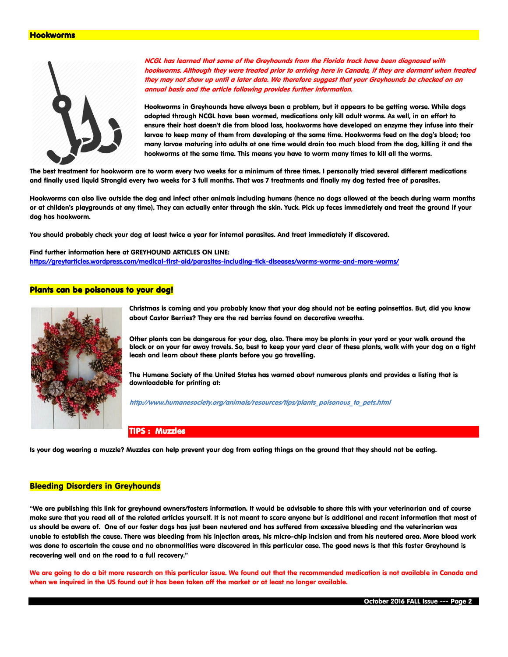#### Hookworms



NCGL has learned that some of the Greyhounds from the Florida track have been diagnosed with hookworms. Although they were treated prior to arriving here in Canada, if they are dormant when treated they may not show up until a later date. We therefore suggest that your Greyhounds be checked on an annual basis and the article following provides further information.

Hookworms in Greyhounds have always been a problem, but it appears to be getting worse. While dogs adopted through NCGL have been wormed, medications only kill adult worms. As well, in an effort to ensure their host doesn't die from blood loss, hookworms have developed an enzyme they infuse into their larvae to keep many of them from developing at the same time. Hookworms feed on the dog's blood; too many larvae maturing into adults at one time would drain too much blood from the dog, killing it and the hookworms at the same time. This means you have to worm many times to kill all the worms.

The best treatment for hookworm are to worm every two weeks for a minimum of three times. I personally tried several different medications and finally used liquid Strongid every two weeks for 3 full months. That was 7 treatments and finally my dog tested free of parasites.

Hookworms can also live outside the dog and infect other animals including humans (hence no dogs allowed at the beach during warm months or at childen's playgrounds at any time). They can actually enter through the skin. Yuck. Pick up feces immediately and treat the ground if your dog has hookworm.

You should probably check your dog at least twice a year for internal parasites. And treat immediately if discovered.

Find further information here at GREYHOUND ARTICLES ON LINE: <https://greytarticles.wordpress.com/medical-first-aid/parasites-including-tick-diseases/worms-worms-and-more-worms/>

## Plants can be poisonous to your dog!



Christmas is coming and you probably know that your dog should not be eating poinsettias. But, did you know about Castor Berries? They are the red berries found on decorative wreaths.

Other plants can be dangerous for your dog, also. There may be plants in your yard or your walk around the block or on your far away travels. So, best to keep your yard clear of these plants, walk with your dog on a tight leash and learn about these plants before you go travelling.

The Humane Society of the United States has warned about numerous plants and provides a listing that is downloadable for printing at:

http://www.humanesociety.org/animals/resources/tips/plants\_poisonous\_to\_pets.html

### TIPS : Muzzles

Is your dog wearing a muzzle? Muzzles can help prevent your dog from eating things on the ground that they should not be eating.

#### Bleeding Disorders in Greyhounds

"We are publishing this link for greyhound owners/fosters information. It would be advisable to share this with your veterinarian and of course make sure that you read all of the related articles yourself. It is not meant to scare anyone but is additional and recent information that most of us should be aware of. One of our foster dogs has just been neutered and has suffered from excessive bleeding and the veterinarian was unable to establish the cause. There was bleeding from his injection areas, his micro-chip incision and from his neutered area. More blood work was done to ascertain the cause and no abnormalities were discovered in this particular case. The good news is that this foster Greyhound is recovering well and on the road to a full recovery."

We are going to do a bit more research on this particular issue. We found out that the recommended medication is not available in Canada and when we inquired in the US found out it has been taken off the market or at least no longer available.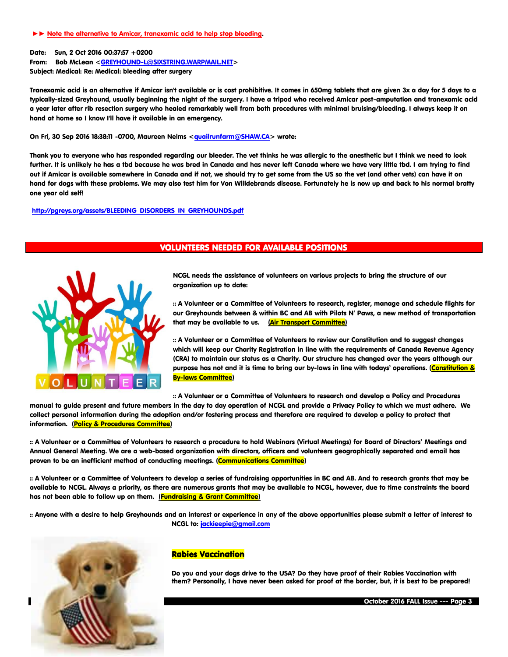#### ►► Note the alternative to Amicar, tranexamic acid to help stop bleeding.

Date: Sun, 2 Oct 2016 00:37:57 +0200

From: Bob McLean [<GREYHOUND-L@SIXSTRING.WARPMAIL.NET>](mailto:GREYHOUND-L@SIXSTRING.WARPMAIL.NET)

Subject: Medical: Re: Medical: bleeding after surgery

Tranexamic acid is an alternative if Amicar isn't available or is cost prohibitive. It comes in 650mg tablets that are given 3x a day for 5 days to a typically-sized Greyhound, usually beginning the night of the surgery. I have a tripod who received Amicar post-amputation and tranexamic acid a year later after rib resection surgery who healed remarkably well from both procedures with minimal bruising/bleeding. I always keep it on hand at home so I know I'll have it available in an emergency.

On Fri, 30 Sep 2016 18:38:11 -0700, Maureen Nelms [<quailrunfarm@SHAW.CA>](mailto:quailrunfarm@SHAW.CA) wrote:

Thank you to everyone who has responded regarding our bleeder. The vet thinks he was allergic to the anesthetic but I think we need to look further. It is unlikely he has a tbd because he was bred in Canada and has never left Canada where we have very little tbd. I am trying to find out if Amicar is available somewhere in Canada and if not, we should try to get some from the US so the vet (and other vets) can have it on hand for dogs with these problems. We may also test him for Von Willdebrands disease. Fortunately he is now up and back to his normal bratty one year old self!

[http://pgreys.org/assets/BLEEDING\\_DISORDERS\\_IN\\_GREYHOUNDS.pdf](http://pgreys.org/assets/BLEEDING_DISORDERS_IN_GREYHOUNDS.pdf)

## VOLUNTEERS NEEDED FOR AVAILABLE POSITIONS



NCGL needs the assistance of volunteers on various projects to bring the structure of our organization up to date:

:: A Volunteer or a Committee of Volunteers to research, register, manage and schedule flights for our Greyhounds between & within BC and AB with Pilots N' Paws, a new method of transportation that may be available to us. (Air Transport Committee)

:: A Volunteer or a Committee of Volunteers to review our Constitution and to suggest changes which will keep our Charity Registration in line with the requirements of Canada Revenue Agency (CRA) to maintain our status as a Charity. Our structure has changed over the years although our purpose has not and it is time to bring our by-laws in line with todays' operations. (Constitution & By-laws Committee)

:: A Volunteer or a Committee of Volunteers to research and develop a Policy and Procedures

manual to guide present and future members in the day to day operation of NCGL and provide a Privacy Policy to which we must adhere. We collect personal information during the adoption and/or fostering process and therefore are required to develop a policy to protect that information. (Policy & Procedures Committee)

:: A Volunteer or a Committee of Volunteers to research a procedure to hold Webinars (Virtual Meetings) for Board of Directors' Meetings and Annual General Meeting. We are a web-based organization with directors, officers and volunteers geographically separated and email has proven to be an inefficient method of conducting meetings. (Communications Committee)

:: A Volunteer or a Committee of Volunteers to develop a series of fundraising opportunities in BC and AB. And to research grants that may be available to NCGL. Always a priority, as there are numerous grants that may be available to NCGL, however, due to time constraints the board has not been able to follow up on them. (Fundraising & Grant Committee)

:: Anyone with a desire to help Greyhounds and an interest or experience in any of the above opportunities please submit a letter of interest to NCGL to[: jackieepie@gmail.com](mailto:jackieepie@gmail.com)



## Rabies Vaccination

Do you and your dogs drive to the USA? Do they have proof of their Rabies Vaccination with them? Personally, I have never been asked for proof at the border, but, it is best to be prepared!